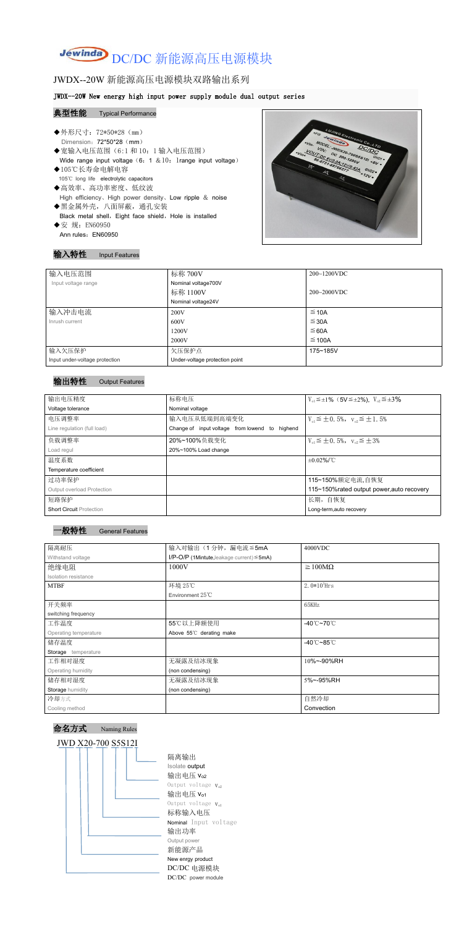# Jewinda DC/DC 新能源高压电源模块

# JWDX--20W 新能源高压电源模块双路输出系列

#### JWDX--20W New energy high input power supply module dual output series

#### 典型性能 Typical Performance

- ◆外形尺寸: 72\*50\*28 (mm) Dimension: 72\*50\*28 (mm) ◆宽输入电压范围(6:1 和 10: 1 输入电压范围)<br>
◆宽输入电压范围(6:1 和 10: 1 输入电压范围)<br>
◆ 宽输入电压范围(6:1 和 10: 1 输入电压范围) Wide range input voltage  $(6: 1 \& 10:1$ range input voltage) ◆105℃长寿命电解电容 105℃ long life electrolytic capacitors ◆高效率、高功率密度、低纹波
- High efficiency、High power density、Low ripple & noise
- ◆黑金属外壳,八面屏蔽,通孔安装 Black metal shell, Eight face shield, Hole is installed ◆安 规: EN60950
- Ann rules: EN60950



### 输入特性 Input Features

| 输入电压范围                         | 标称 700V                        | $200~1200$ VDC |
|--------------------------------|--------------------------------|----------------|
| Input voltage range            | Nominal voltage700V            |                |
|                                | 标称 1100V                       | $200~2000$ VDC |
|                                | Nominal voltage24V             |                |
| 输入冲击电流                         | 200V                           | $\leq$ 10A     |
| Inrush current                 | 600V                           | $\leq$ 30A     |
|                                | 1200V                          | ≤ 60A          |
|                                | 2000V                          | $\leq$ 100A    |
| 输入欠压保护                         | 欠压保护点                          | 175~185V       |
| Input under-voltage protection | Under-voltage protection point |                |

#### 输出特性 Output Features



命名方式 Naming Rules



隔离输出 Isolate output 输出电压 vo2 Output voltage  $V_{o2}$ 输出电压  $V_{01}$ Output voltage  $V_{o1}$ 标称输入电压 Nominal Input voltage 输出功率 Output power 新能源产品 New enrgy product DC/DC 电源模块 DC/DC power module

| 输出电压精度                            | 标称电压                                           | $V_{01} \leq \pm 1\%$ (5V $\leq \pm 2\%$ ), $V_{02} \leq \pm 3\%$ |
|-----------------------------------|------------------------------------------------|-------------------------------------------------------------------|
| Voltage tolerance                 | Nominal voltage                                |                                                                   |
| 电压调整率                             | 输入电压从低端到高端变化                                   | $V_{01} \leq \pm 0.5\%$ , $V_{02} \leq \pm 1.5\%$                 |
| Line regulation (full load)       | Change of input voltage from lowend to highend |                                                                   |
| 负载调整率                             | 20%~100%负载变化                                   | $V_{01} \leq \pm 0.5\%$ , $V_{02} \leq \pm 3\%$                   |
| Load regul                        | 20%~100% Load change                           |                                                                   |
| 温度系数                              |                                                | $\pm 0.02\%$ /°C                                                  |
| Temperature coefficient           |                                                |                                                                   |
| 过功率保护                             |                                                | 115~150%额定电流,自恢复                                                  |
| <b>Output overload Protection</b> |                                                | 115~150% rated output power, auto recovery                        |
| 短路保护                              |                                                | 长期, 自恢复                                                           |
| <b>Short Circuit Protection</b>   |                                                | Long-term, auto recovery                                          |

| 隔离耐压                  | 输入对输出(1分钟,漏电流≦5mA                                  | 4000VDC                         |  |
|-----------------------|----------------------------------------------------|---------------------------------|--|
| Withstand voltage     | $I/P$ -O/P (1Mintute, leakage current) $\leq$ 5mA) |                                 |  |
| 绝缘电阻                  | 1000V                                              | $\geq 100M\Omega$               |  |
| Isolation resistance  |                                                    |                                 |  |
| <b>MTBF</b>           | 环境 25℃                                             | $2.0*105$ Hrs                   |  |
|                       | Environment 25℃                                    |                                 |  |
| 开关频率                  |                                                    | 65KHz                           |  |
| switching frequency   |                                                    |                                 |  |
| 工作温度                  | 55℃以上降额使用                                          | $-40^{\circ}$ C $-70^{\circ}$ C |  |
| Operating temperature | Above 55°C derating make                           |                                 |  |
| 储存温度                  |                                                    | $-40^{\circ}$ C $-85^{\circ}$ C |  |
| Storage temperature   |                                                    |                                 |  |
| 工作相对湿度                | 无凝露及结冰现象                                           | 10%~-90%RH                      |  |
| Operating humidity    | (non condensing)                                   |                                 |  |
| 储存相对湿度                | 无凝露及结冰现象                                           | 5%~-95%RH                       |  |
| Storage humidity      | (non condensing)                                   |                                 |  |
| 冷却方式                  |                                                    | 自然冷却                            |  |
| Cooling method        |                                                    | Convection                      |  |